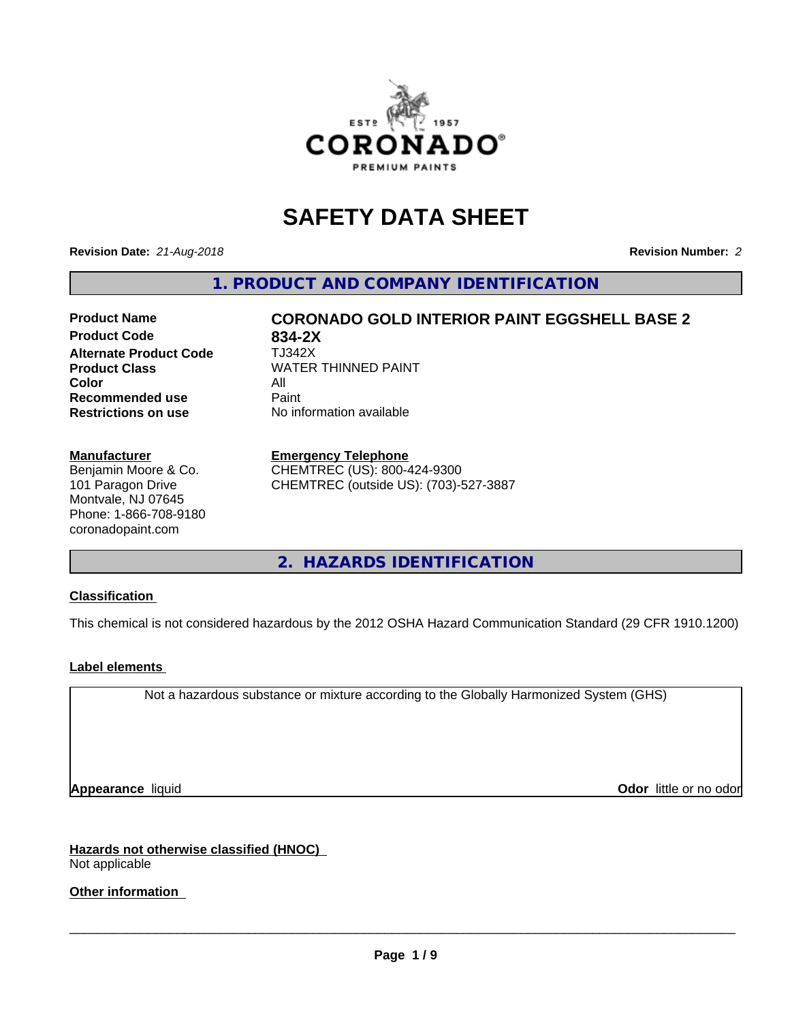

# **SAFETY DATA SHEET**

**Revision Date:** *21-Aug-2018* **Revision Number:** *2*

**1. PRODUCT AND COMPANY IDENTIFICATION**

## **Product Name CORONADO GOLD INTERIOR PAINT EGGSHELL BASE 2**

**Product Code 634-2X<br>
<b>Alternate Product Code** TJ342X **Alternate Product Code Color** All All<br>**Recommended use** Paint **Recommended use Restrictions on use** No information available

**Product Class WATER THINNED PAINT** 

#### **Manufacturer**

Benjamin Moore & Co. 101 Paragon Drive Montvale, NJ 07645 Phone: 1-866-708-9180 coronadopaint.com

#### **Emergency Telephone**

CHEMTREC (US): 800-424-9300 CHEMTREC (outside US): (703)-527-3887

**2. HAZARDS IDENTIFICATION**

## **Classification**

This chemical is not considered hazardous by the 2012 OSHA Hazard Communication Standard (29 CFR 1910.1200)

## **Label elements**

Not a hazardous substance or mixture according to the Globally Harmonized System (GHS)

**Appearance** liquid **Contract Contract Contract Contract Contract Contract Contract Contract Contract Contract Contract Contract Contract Contract Contract Contract Contract Contract Contract Contract Contract Contract Con** 

**Hazards not otherwise classified (HNOC)** Not applicable

**Other information**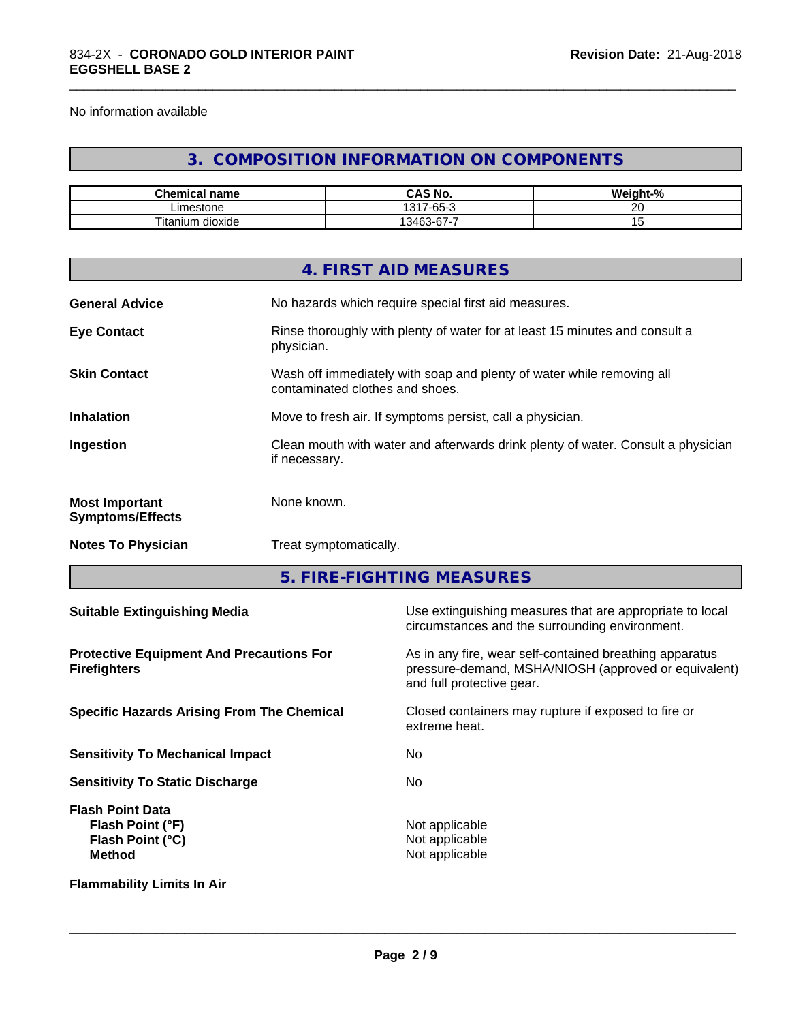No information available

## **3. COMPOSITION INFORMATION ON COMPONENTS**

\_\_\_\_\_\_\_\_\_\_\_\_\_\_\_\_\_\_\_\_\_\_\_\_\_\_\_\_\_\_\_\_\_\_\_\_\_\_\_\_\_\_\_\_\_\_\_\_\_\_\_\_\_\_\_\_\_\_\_\_\_\_\_\_\_\_\_\_\_\_\_\_\_\_\_\_\_\_\_\_\_\_\_\_\_\_\_\_\_\_\_\_\_

| <b>Chemical name</b>           | <b>CNL</b><br>$\mathbf{a}$<br>CAS No. | $\cdots$<br>$\overline{\phantom{a}}$<br>eiaht·<br>-70 |
|--------------------------------|---------------------------------------|-------------------------------------------------------|
| ∟imestone                      | $\sim$<br>1317<br>-65-                | $\sim$                                                |
| Titanium<br><br>. .<br>dioxide | $\sim$<br>--<br>13462<br>-07-د        |                                                       |

|                                                  | 4. FIRST AID MEASURES                                                                                    |
|--------------------------------------------------|----------------------------------------------------------------------------------------------------------|
| <b>General Advice</b>                            | No hazards which require special first aid measures.                                                     |
| <b>Eye Contact</b>                               | Rinse thoroughly with plenty of water for at least 15 minutes and consult a<br>physician.                |
| <b>Skin Contact</b>                              | Wash off immediately with soap and plenty of water while removing all<br>contaminated clothes and shoes. |
| <b>Inhalation</b>                                | Move to fresh air. If symptoms persist, call a physician.                                                |
| Ingestion                                        | Clean mouth with water and afterwards drink plenty of water. Consult a physician<br>if necessary.        |
| <b>Most Important</b><br><b>Symptoms/Effects</b> | None known.                                                                                              |
| <b>Notes To Physician</b>                        | Treat symptomatically.                                                                                   |
|                                                  |                                                                                                          |

**5. FIRE-FIGHTING MEASURES**

| <b>Suitable Extinguishing Media</b>                                              | Use extinguishing measures that are appropriate to local<br>circumstances and the surrounding environment.                                   |
|----------------------------------------------------------------------------------|----------------------------------------------------------------------------------------------------------------------------------------------|
| <b>Protective Equipment And Precautions For</b><br><b>Firefighters</b>           | As in any fire, wear self-contained breathing apparatus<br>pressure-demand, MSHA/NIOSH (approved or equivalent)<br>and full protective gear. |
| <b>Specific Hazards Arising From The Chemical</b>                                | Closed containers may rupture if exposed to fire or<br>extreme heat.                                                                         |
| <b>Sensitivity To Mechanical Impact</b>                                          | No.                                                                                                                                          |
| <b>Sensitivity To Static Discharge</b>                                           | No.                                                                                                                                          |
| <b>Flash Point Data</b><br>Flash Point (°F)<br>Flash Point (°C)<br><b>Method</b> | Not applicable<br>Not applicable<br>Not applicable                                                                                           |
| <b>Flammability Limits In Air</b>                                                |                                                                                                                                              |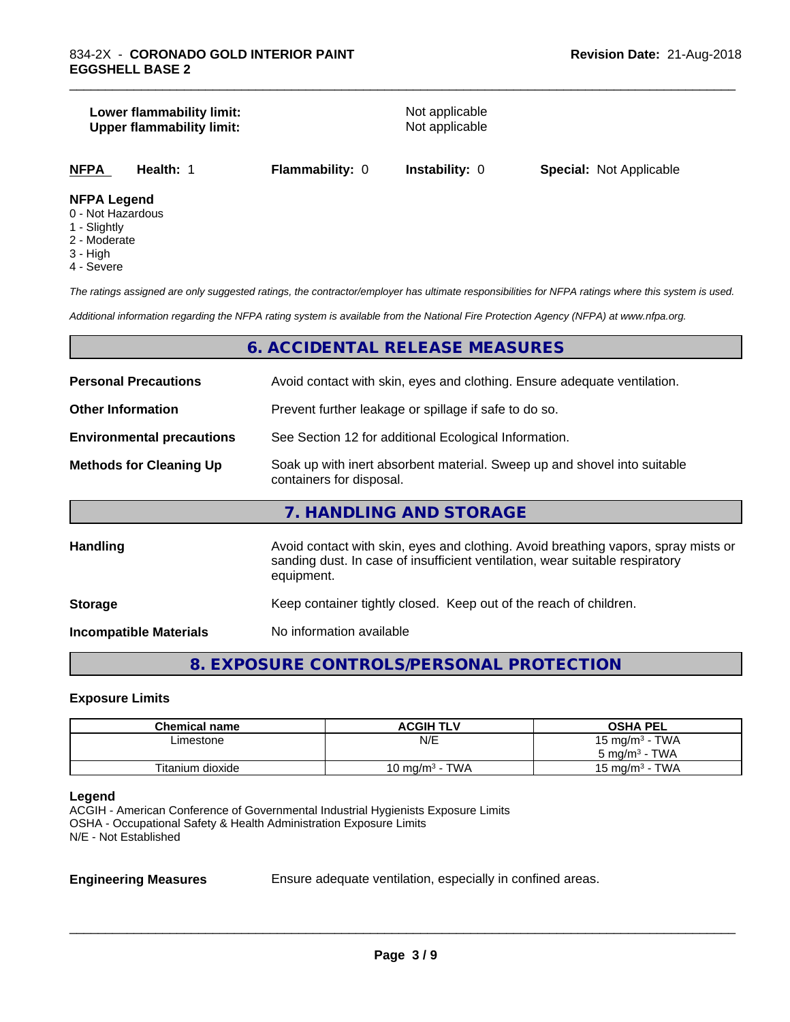#### **Lower flammability limit:**<br> **Upper flammability limit:**<br>
Upper flammability limit:<br>
Not applicable **Upper flammability limit:**

\_\_\_\_\_\_\_\_\_\_\_\_\_\_\_\_\_\_\_\_\_\_\_\_\_\_\_\_\_\_\_\_\_\_\_\_\_\_\_\_\_\_\_\_\_\_\_\_\_\_\_\_\_\_\_\_\_\_\_\_\_\_\_\_\_\_\_\_\_\_\_\_\_\_\_\_\_\_\_\_\_\_\_\_\_\_\_\_\_\_\_\_\_

**NFPA Health:** 1 **Flammability:** 0 **Instability:** 0 **Special:** Not Applicable

#### **NFPA Legend**

- 0 Not Hazardous
- 1 Slightly
- 2 Moderate
- 3 High
- 4 Severe

*The ratings assigned are only suggested ratings, the contractor/employer has ultimate responsibilities for NFPA ratings where this system is used.*

*Additional information regarding the NFPA rating system is available from the National Fire Protection Agency (NFPA) at www.nfpa.org.*

## **6. ACCIDENTAL RELEASE MEASURES**

| <b>Personal Precautions</b>      | Avoid contact with skin, eyes and clothing. Ensure adequate ventilation.                                                                                                         |  |
|----------------------------------|----------------------------------------------------------------------------------------------------------------------------------------------------------------------------------|--|
| <b>Other Information</b>         | Prevent further leakage or spillage if safe to do so.                                                                                                                            |  |
| <b>Environmental precautions</b> | See Section 12 for additional Ecological Information.                                                                                                                            |  |
| <b>Methods for Cleaning Up</b>   | Soak up with inert absorbent material. Sweep up and shovel into suitable<br>containers for disposal.                                                                             |  |
|                                  | 7. HANDLING AND STORAGE                                                                                                                                                          |  |
| <b>Handling</b>                  | Avoid contact with skin, eyes and clothing. Avoid breathing vapors, spray mists or<br>sanding dust. In case of insufficient ventilation, wear suitable respiratory<br>equipment. |  |
| <b>Storage</b>                   | Keep container tightly closed. Keep out of the reach of children.                                                                                                                |  |
| <b>Incompatible Materials</b>    | No information available                                                                                                                                                         |  |

## **8. EXPOSURE CONTROLS/PERSONAL PROTECTION**

#### **Exposure Limits**

| <b>Chemical name</b> | <b>ACGIH TLV</b>  | <b>OSHA PEL</b>                        |
|----------------------|-------------------|----------------------------------------|
| ∟imestone            | N/E               | 15 mg/m $3$ - TWA                      |
|                      |                   | $5 \text{ ma/m}^3$ - TWA               |
| Titanium dioxide     | 10 mg/m $3$ - TWA | <b>TWA</b><br>15 mg/m <sup>3</sup> - . |

#### **Legend**

ACGIH - American Conference of Governmental Industrial Hygienists Exposure Limits OSHA - Occupational Safety & Health Administration Exposure Limits N/E - Not Established

**Engineering Measures** Ensure adequate ventilation, especially in confined areas.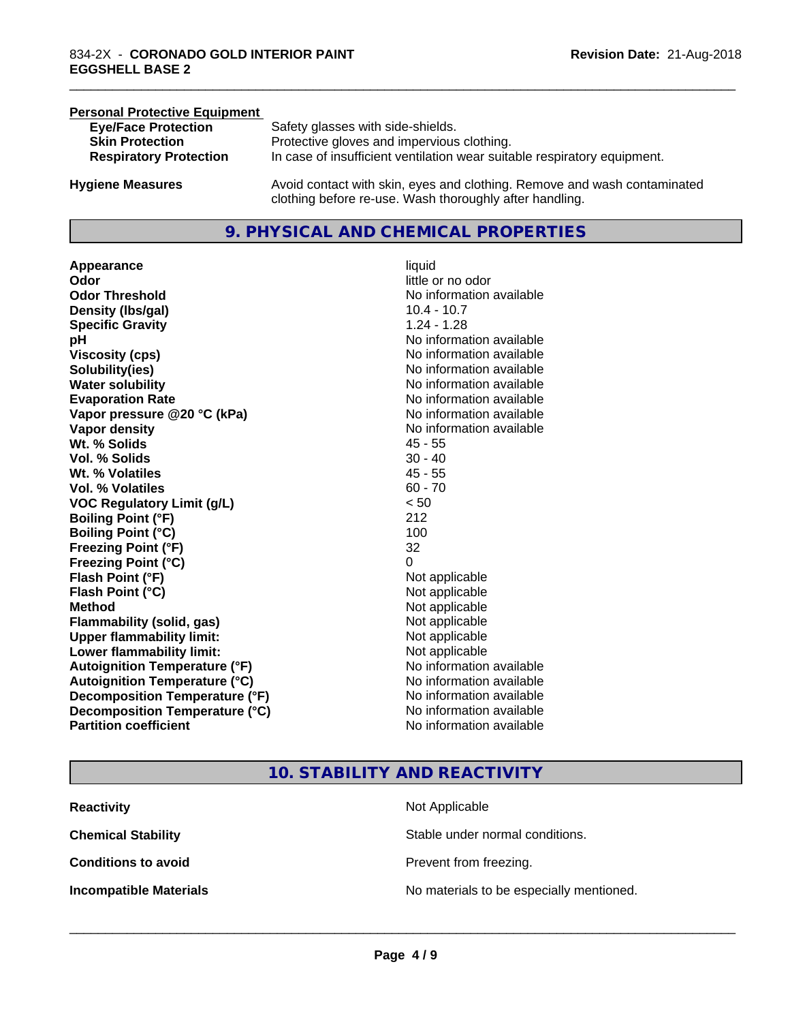## **Personal Protective Equipment**<br> **Eve/Face Protection Eye/Face Protection** Safety glasses with side-shields.<br> **Skin Protection** Protective gloves and impervious Protective gloves and impervious clothing. **Respiratory Protection** In case of insufficient ventilation wear suitable respiratory equipment. **Hygiene Measures** Avoid contact with skin, eyes and clothing. Remove and wash contaminated

## **9. PHYSICAL AND CHEMICAL PROPERTIES**

clothing before re-use. Wash thoroughly after handling.

**Appearance** liquid **Odor**<br> **Odor Threshold**<br> **Odor Threshold**<br> **CODOR**<br> **CODOR**<br> **CODOR**<br> **CODOR**<br> **CODOR**<br> **CODOR**<br> **CODOR**<br> **CODOR**<br> **CODOR**<br> **CODOR Density (Ibs/gal)** 10.4 - 10.7 **Specific Gravity** 1.24 - 1.28 **pH pH**  $\blacksquare$ **Viscosity (cps)** No information available **Solubility(ies)** No information available **Water solubility** No information available **Evaporation Rate No information available No information available Vapor pressure @20 °C (kPa)** No information available **Vapor density No information available No information available Wt. % Solids** 45 - 55 **Vol. % Solids** 30 - 40 **Wt. % Volatiles** 45 - 55 **Vol. % Volatiles** 60 - 70 **VOC Regulatory Limit (g/L)** < 50 **Boiling Point (°F)** 212 **Boiling Point (°C)** 100 **Freezing Point (°F)** 32 **Freezing Point (°C)** 0 **Flash Point (°F)**<br> **Flash Point (°C)**<br> **Flash Point (°C)**<br> **Point (°C)**<br> **Point (°C)**<br> **Point (°C)**<br> **Point (°C)**<br> **Point (°C) Flash Point (°C) Method** Not applicable Not applicable **Flammability (solid, gas)** Not applicable **Upper flammability limit:** Not applicable **Lower flammability limit:** Not applicable **Autoignition Temperature (°F)** No information available **Autoignition Temperature (°C)** No information available **Decomposition Temperature (°F)** No information available<br> **Decomposition Temperature (°C)** No information available **Decomposition Temperature (°C) Partition coefficient Contract Contract Contract Contract Contract Contract Contract Contract Contract Contract Contract Contract Contract Contract Contract Contract Contract Contract Contract Contract Contract Contract** 

**No information available** 

\_\_\_\_\_\_\_\_\_\_\_\_\_\_\_\_\_\_\_\_\_\_\_\_\_\_\_\_\_\_\_\_\_\_\_\_\_\_\_\_\_\_\_\_\_\_\_\_\_\_\_\_\_\_\_\_\_\_\_\_\_\_\_\_\_\_\_\_\_\_\_\_\_\_\_\_\_\_\_\_\_\_\_\_\_\_\_\_\_\_\_\_\_

## **10. STABILITY AND REACTIVITY**

| <b>Reactivity</b>             | Not Applicable                           |
|-------------------------------|------------------------------------------|
| <b>Chemical Stability</b>     | Stable under normal conditions.          |
| <b>Conditions to avoid</b>    | Prevent from freezing.                   |
| <b>Incompatible Materials</b> | No materials to be especially mentioned. |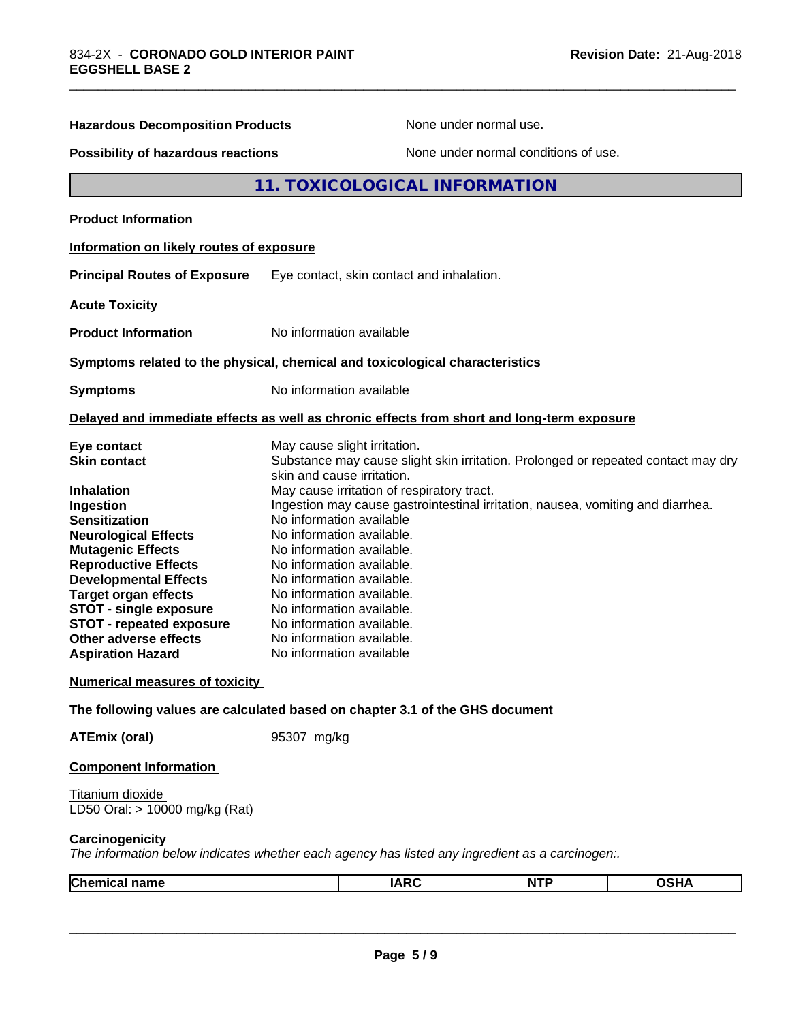| <b>Hazardous Decomposition Products</b>                                                                                                                                                                                                                                                                                                  |                                                                                                                                                                                                                                                                                                                                                                                                                               | None under normal use.               |             |
|------------------------------------------------------------------------------------------------------------------------------------------------------------------------------------------------------------------------------------------------------------------------------------------------------------------------------------------|-------------------------------------------------------------------------------------------------------------------------------------------------------------------------------------------------------------------------------------------------------------------------------------------------------------------------------------------------------------------------------------------------------------------------------|--------------------------------------|-------------|
| Possibility of hazardous reactions                                                                                                                                                                                                                                                                                                       |                                                                                                                                                                                                                                                                                                                                                                                                                               | None under normal conditions of use. |             |
|                                                                                                                                                                                                                                                                                                                                          | 11. TOXICOLOGICAL INFORMATION                                                                                                                                                                                                                                                                                                                                                                                                 |                                      |             |
| <b>Product Information</b>                                                                                                                                                                                                                                                                                                               |                                                                                                                                                                                                                                                                                                                                                                                                                               |                                      |             |
| Information on likely routes of exposure                                                                                                                                                                                                                                                                                                 |                                                                                                                                                                                                                                                                                                                                                                                                                               |                                      |             |
| <b>Principal Routes of Exposure</b>                                                                                                                                                                                                                                                                                                      | Eye contact, skin contact and inhalation.                                                                                                                                                                                                                                                                                                                                                                                     |                                      |             |
| <b>Acute Toxicity</b>                                                                                                                                                                                                                                                                                                                    |                                                                                                                                                                                                                                                                                                                                                                                                                               |                                      |             |
| <b>Product Information</b>                                                                                                                                                                                                                                                                                                               | No information available                                                                                                                                                                                                                                                                                                                                                                                                      |                                      |             |
|                                                                                                                                                                                                                                                                                                                                          | Symptoms related to the physical, chemical and toxicological characteristics                                                                                                                                                                                                                                                                                                                                                  |                                      |             |
| <b>Symptoms</b>                                                                                                                                                                                                                                                                                                                          | No information available                                                                                                                                                                                                                                                                                                                                                                                                      |                                      |             |
|                                                                                                                                                                                                                                                                                                                                          | Delayed and immediate effects as well as chronic effects from short and long-term exposure                                                                                                                                                                                                                                                                                                                                    |                                      |             |
| Eye contact<br><b>Skin contact</b>                                                                                                                                                                                                                                                                                                       | May cause slight irritation.<br>Substance may cause slight skin irritation. Prolonged or repeated contact may dry<br>skin and cause irritation.                                                                                                                                                                                                                                                                               |                                      |             |
| <b>Inhalation</b><br>Ingestion<br><b>Sensitization</b><br><b>Neurological Effects</b><br><b>Mutagenic Effects</b><br><b>Reproductive Effects</b><br><b>Developmental Effects</b><br><b>Target organ effects</b><br><b>STOT - single exposure</b><br><b>STOT - repeated exposure</b><br>Other adverse effects<br><b>Aspiration Hazard</b> | May cause irritation of respiratory tract.<br>Ingestion may cause gastrointestinal irritation, nausea, vomiting and diarrhea.<br>No information available<br>No information available.<br>No information available.<br>No information available.<br>No information available.<br>No information available.<br>No information available.<br>No information available.<br>No information available.<br>No information available |                                      |             |
| <b>Numerical measures of toxicity</b>                                                                                                                                                                                                                                                                                                    |                                                                                                                                                                                                                                                                                                                                                                                                                               |                                      |             |
|                                                                                                                                                                                                                                                                                                                                          | The following values are calculated based on chapter 3.1 of the GHS document                                                                                                                                                                                                                                                                                                                                                  |                                      |             |
| <b>ATEmix (oral)</b>                                                                                                                                                                                                                                                                                                                     | 95307 mg/kg                                                                                                                                                                                                                                                                                                                                                                                                                   |                                      |             |
| <b>Component Information</b>                                                                                                                                                                                                                                                                                                             |                                                                                                                                                                                                                                                                                                                                                                                                                               |                                      |             |
| Titanium dioxide<br>LD50 Oral: > 10000 mg/kg (Rat)                                                                                                                                                                                                                                                                                       |                                                                                                                                                                                                                                                                                                                                                                                                                               |                                      |             |
| Carcinogenicity                                                                                                                                                                                                                                                                                                                          | The information below indicates whether each agency has listed any ingredient as a carcinogen:.                                                                                                                                                                                                                                                                                                                               |                                      |             |
| <b>Chemical name</b>                                                                                                                                                                                                                                                                                                                     | <b>IARC</b>                                                                                                                                                                                                                                                                                                                                                                                                                   | <b>NTP</b>                           | <b>OSHA</b> |

\_\_\_\_\_\_\_\_\_\_\_\_\_\_\_\_\_\_\_\_\_\_\_\_\_\_\_\_\_\_\_\_\_\_\_\_\_\_\_\_\_\_\_\_\_\_\_\_\_\_\_\_\_\_\_\_\_\_\_\_\_\_\_\_\_\_\_\_\_\_\_\_\_\_\_\_\_\_\_\_\_\_\_\_\_\_\_\_\_\_\_\_\_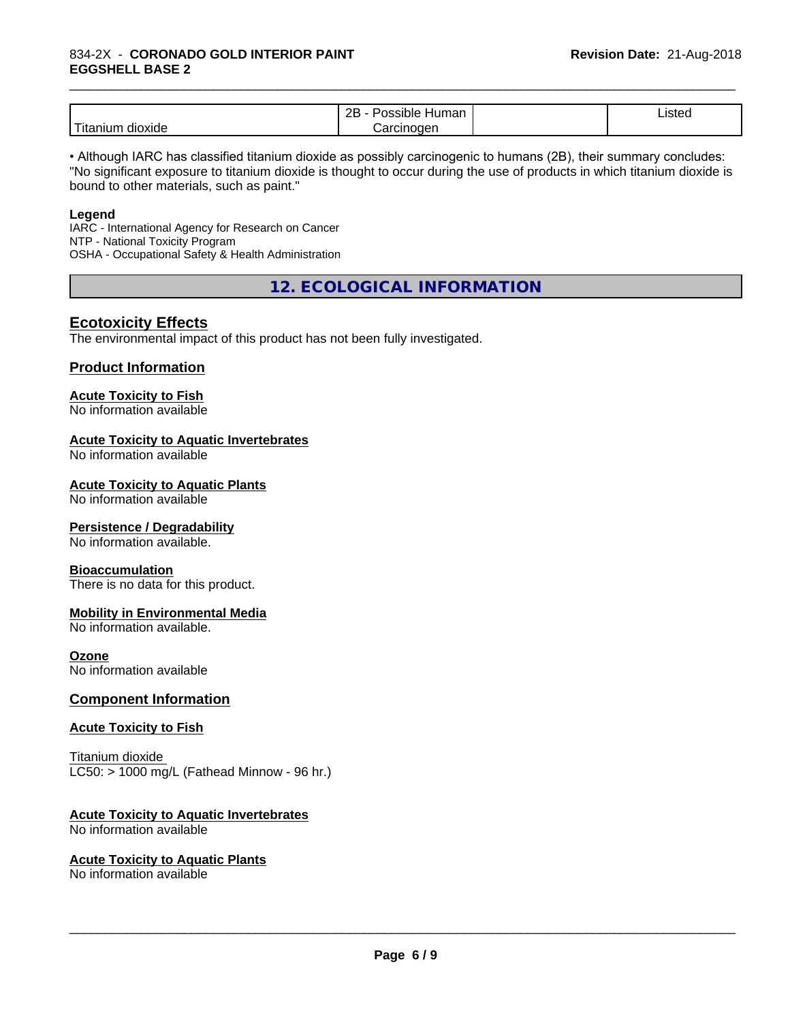### 834-2X - **CORONADO GOLD INTERIOR PAINT EGGSHELL BASE 2**

|                              | <br>ם מ<br>.<br>sible<br>⊣umar<br>-- | $\overline{\phantom{a}}$<br>10t<br>"SIGC<br>می از<br>$    -$ |  |
|------------------------------|--------------------------------------|--------------------------------------------------------------|--|
| .<br><br>dioxide<br>Titaniur | loaen<br>.                           |                                                              |  |

\_\_\_\_\_\_\_\_\_\_\_\_\_\_\_\_\_\_\_\_\_\_\_\_\_\_\_\_\_\_\_\_\_\_\_\_\_\_\_\_\_\_\_\_\_\_\_\_\_\_\_\_\_\_\_\_\_\_\_\_\_\_\_\_\_\_\_\_\_\_\_\_\_\_\_\_\_\_\_\_\_\_\_\_\_\_\_\_\_\_\_\_\_

• Although IARC has classified titanium dioxide as possibly carcinogenic to humans (2B), their summary concludes: "No significant exposure to titanium dioxide is thought to occur during the use of products in which titanium dioxide is bound to other materials, such as paint."

#### **Legend**

IARC - International Agency for Research on Cancer NTP - National Toxicity Program OSHA - Occupational Safety & Health Administration

**12. ECOLOGICAL INFORMATION**

## **Ecotoxicity Effects**

The environmental impact of this product has not been fully investigated.

## **Product Information**

#### **Acute Toxicity to Fish**

No information available

#### **Acute Toxicity to Aquatic Invertebrates**

No information available

#### **Acute Toxicity to Aquatic Plants**

No information available

#### **Persistence / Degradability**

No information available.

#### **Bioaccumulation**

There is no data for this product.

#### **Mobility in Environmental Media**

No information available.

### **Ozone**

No information available

## **Component Information**

#### **Acute Toxicity to Fish**

Titanium dioxide  $LC50:$  > 1000 mg/L (Fathead Minnow - 96 hr.)

#### **Acute Toxicity to Aquatic Invertebrates**

No information available

#### **Acute Toxicity to Aquatic Plants**

No information available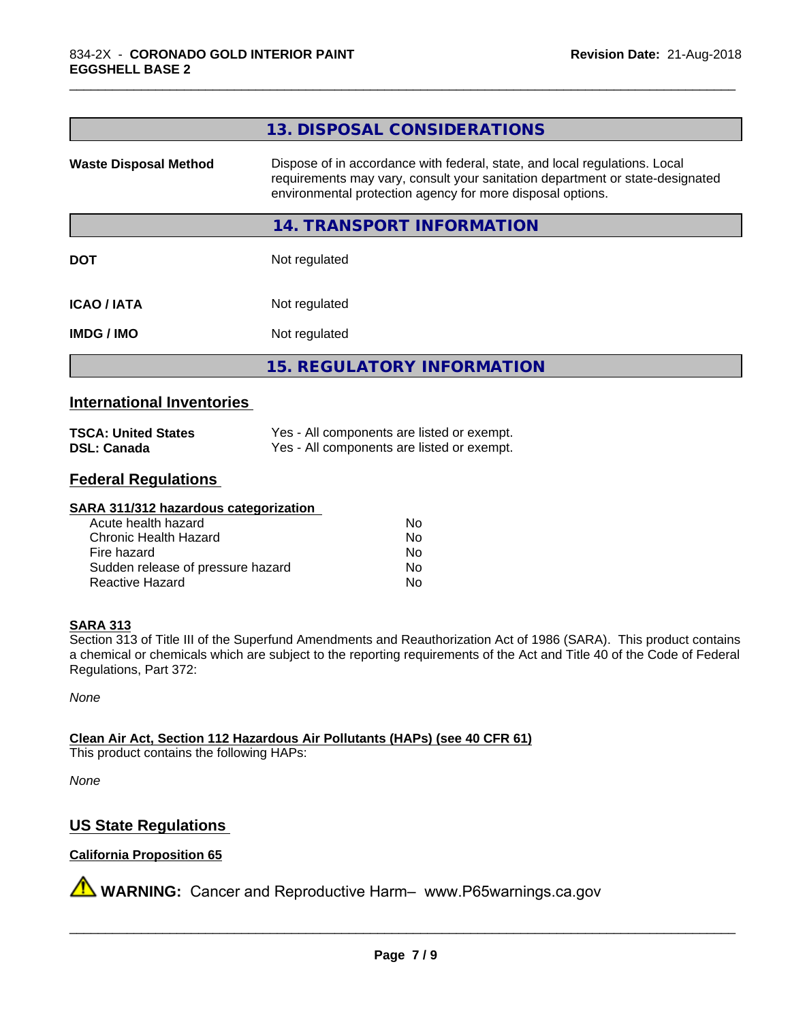|                              | 13. DISPOSAL CONSIDERATIONS                                                                                                                                                                                               |
|------------------------------|---------------------------------------------------------------------------------------------------------------------------------------------------------------------------------------------------------------------------|
| <b>Waste Disposal Method</b> | Dispose of in accordance with federal, state, and local regulations. Local<br>requirements may vary, consult your sanitation department or state-designated<br>environmental protection agency for more disposal options. |
|                              | 14. TRANSPORT INFORMATION                                                                                                                                                                                                 |
| <b>DOT</b>                   | Not regulated                                                                                                                                                                                                             |
| <b>ICAO/IATA</b>             | Not regulated                                                                                                                                                                                                             |
| <b>IMDG/IMO</b>              | Not regulated                                                                                                                                                                                                             |
|                              | <b>15. REGULATORY INFORMATION</b>                                                                                                                                                                                         |

\_\_\_\_\_\_\_\_\_\_\_\_\_\_\_\_\_\_\_\_\_\_\_\_\_\_\_\_\_\_\_\_\_\_\_\_\_\_\_\_\_\_\_\_\_\_\_\_\_\_\_\_\_\_\_\_\_\_\_\_\_\_\_\_\_\_\_\_\_\_\_\_\_\_\_\_\_\_\_\_\_\_\_\_\_\_\_\_\_\_\_\_\_

## **International Inventories**

| <b>TSCA: United States</b> | Yes - All components are listed or exempt. |
|----------------------------|--------------------------------------------|
| <b>DSL: Canada</b>         | Yes - All components are listed or exempt. |

## **Federal Regulations**

#### **SARA 311/312 hazardous categorization**

| Acute health hazard               | Nο |  |
|-----------------------------------|----|--|
| Chronic Health Hazard             | Nο |  |
| Fire hazard                       | Nο |  |
| Sudden release of pressure hazard | Nο |  |
| Reactive Hazard                   | Nο |  |

#### **SARA 313**

Section 313 of Title III of the Superfund Amendments and Reauthorization Act of 1986 (SARA). This product contains a chemical or chemicals which are subject to the reporting requirements of the Act and Title 40 of the Code of Federal Regulations, Part 372:

*None*

**Clean Air Act,Section 112 Hazardous Air Pollutants (HAPs) (see 40 CFR 61)**

This product contains the following HAPs:

*None*

## **US State Regulations**

#### **California Proposition 65**

**A** WARNING: Cancer and Reproductive Harm– www.P65warnings.ca.gov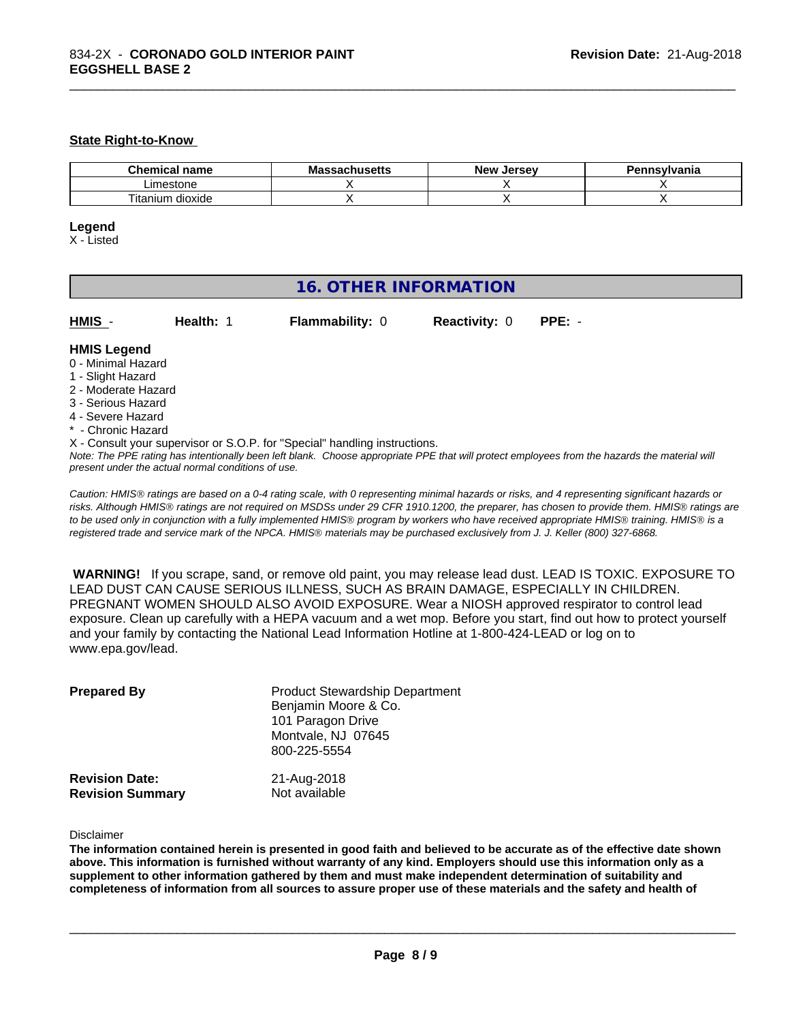#### **State Right-to-Know**

| $\sim$<br>hemical name<br>. | .ahaalla<br>мг<br>saunusells | . Jerse∨<br><b>Nev</b> | Pennsylvania |
|-----------------------------|------------------------------|------------------------|--------------|
| Limestone                   |                              |                        |              |
| ÷.<br>⊺itanium<br>dioxide   |                              |                        |              |

\_\_\_\_\_\_\_\_\_\_\_\_\_\_\_\_\_\_\_\_\_\_\_\_\_\_\_\_\_\_\_\_\_\_\_\_\_\_\_\_\_\_\_\_\_\_\_\_\_\_\_\_\_\_\_\_\_\_\_\_\_\_\_\_\_\_\_\_\_\_\_\_\_\_\_\_\_\_\_\_\_\_\_\_\_\_\_\_\_\_\_\_\_

#### **Legend**

X - Listed

## **16. OTHER INFORMATION**

| HMIS - | <b>Health:</b> 1 | <b>Flammability: 0</b> | <b>Reactivity: 0</b> | $PPE: -$ |
|--------|------------------|------------------------|----------------------|----------|

#### **HMIS Legend**

- 0 Minimal Hazard
- 1 Slight Hazard
- 2 Moderate Hazard
- 3 Serious Hazard
- 4 Severe Hazard
- Chronic Hazard
- X Consult your supervisor or S.O.P. for "Special" handling instructions.

*Note: The PPE rating has intentionally been left blank. Choose appropriate PPE that will protect employees from the hazards the material will present under the actual normal conditions of use.*

*Caution: HMISÒ ratings are based on a 0-4 rating scale, with 0 representing minimal hazards or risks, and 4 representing significant hazards or risks. Although HMISÒ ratings are not required on MSDSs under 29 CFR 1910.1200, the preparer, has chosen to provide them. HMISÒ ratings are to be used only in conjunction with a fully implemented HMISÒ program by workers who have received appropriate HMISÒ training. HMISÒ is a registered trade and service mark of the NPCA. HMISÒ materials may be purchased exclusively from J. J. Keller (800) 327-6868.*

 **WARNING!** If you scrape, sand, or remove old paint, you may release lead dust. LEAD IS TOXIC. EXPOSURE TO LEAD DUST CAN CAUSE SERIOUS ILLNESS, SUCH AS BRAIN DAMAGE, ESPECIALLY IN CHILDREN. PREGNANT WOMEN SHOULD ALSO AVOID EXPOSURE.Wear a NIOSH approved respirator to control lead exposure. Clean up carefully with a HEPA vacuum and a wet mop. Before you start, find out how to protect yourself and your family by contacting the National Lead Information Hotline at 1-800-424-LEAD or log on to www.epa.gov/lead.

| <b>Prepared By</b>                               | <b>Product Stewardship Department</b><br>Benjamin Moore & Co.<br>101 Paragon Drive<br>Montvale, NJ 07645<br>800-225-5554 |  |
|--------------------------------------------------|--------------------------------------------------------------------------------------------------------------------------|--|
| <b>Revision Date:</b><br><b>Revision Summary</b> | 21-Aug-2018<br>Not available                                                                                             |  |

Disclaimer

The information contained herein is presented in good faith and believed to be accurate as of the effective date shown above. This information is furnished without warranty of any kind. Emplovers should use this information only as a **supplement to other information gathered by them and must make independent determination of suitability and** completeness of information from all sources to assure proper use of these materials and the safety and health of